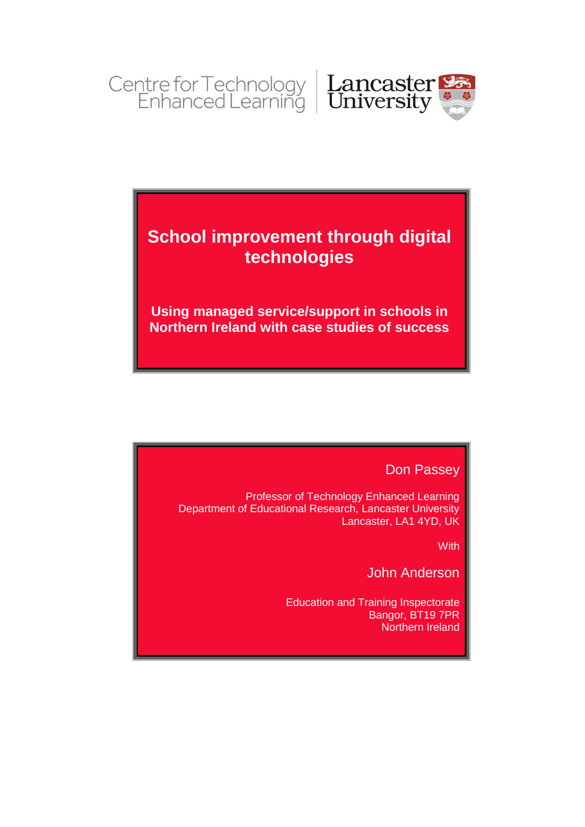

# **School improvement through digital technologies**

**Using managed service/support in schools in Northern Ireland with case studies of success**

# Don Passey

Professor of Technology Enhanced Learning Department of Educational Research, Lancaster University Lancaster, LA1 4YD, UK

**With** 

John Anderson

Education and Training Inspectorate Bangor, BT19 7PR Northern Ireland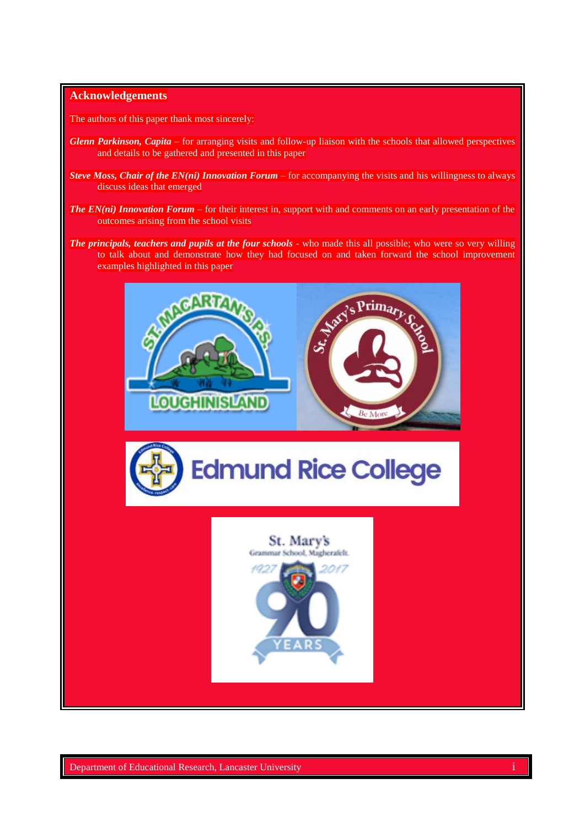#### **Acknowledgements**

The authors of this paper thank most sincerely:

- *Glenn Parkinson, Capita* for arranging visits and follow-up liaison with the schools that allowed perspectives and details to be gathered and presented in this paper
- *Steve Moss, Chair of the EN(ni) Innovation Forum* for accompanying the visits and his willingness to always discuss ideas that emerged
- *The EN(ni) Innovation Forum* for their interest in, support with and comments on an early presentation of the outcomes arising from the school visits
- *The principals, teachers and pupils at the four schools* who made this all possible; who were so very willing to talk about and demonstrate how they had focused on and taken forward the school improvement examples highlighted in this paper





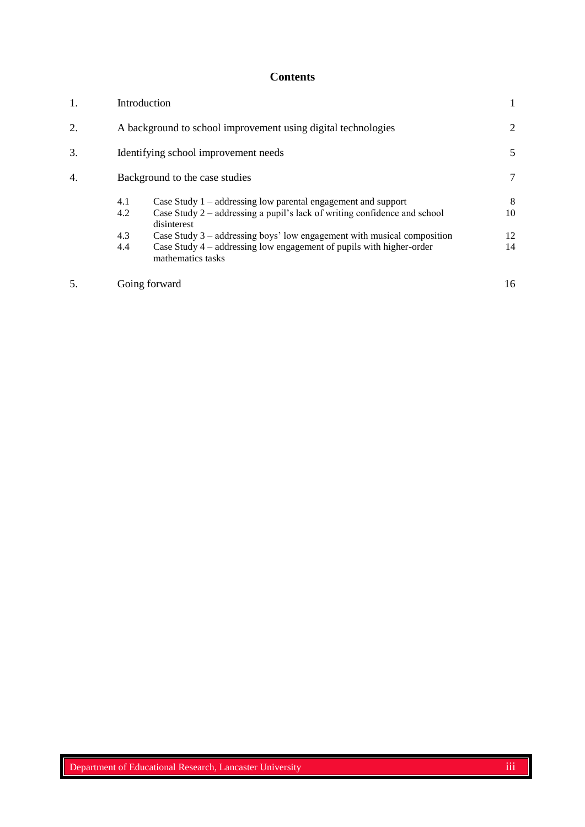# **Contents**

| 1. | Introduction                                                                                                                                                                                                                                                                                                                                                        | 1                   |
|----|---------------------------------------------------------------------------------------------------------------------------------------------------------------------------------------------------------------------------------------------------------------------------------------------------------------------------------------------------------------------|---------------------|
| 2. | A background to school improvement using digital technologies                                                                                                                                                                                                                                                                                                       | 2                   |
| 3. | Identifying school improvement needs                                                                                                                                                                                                                                                                                                                                | 5                   |
| 4. | Background to the case studies                                                                                                                                                                                                                                                                                                                                      | 7                   |
|    | Case Study $1$ – addressing low parental engagement and support<br>4.1<br>Case Study 2 – addressing a pupil's lack of writing confidence and school<br>4.2<br>disinterest<br>4.3<br>Case Study $3$ – addressing boys' low engagement with musical composition<br>4.4<br>Case Study $4$ – addressing low engagement of pupils with higher-order<br>mathematics tasks | 8<br>10<br>12<br>14 |
|    | Going forward                                                                                                                                                                                                                                                                                                                                                       | 16                  |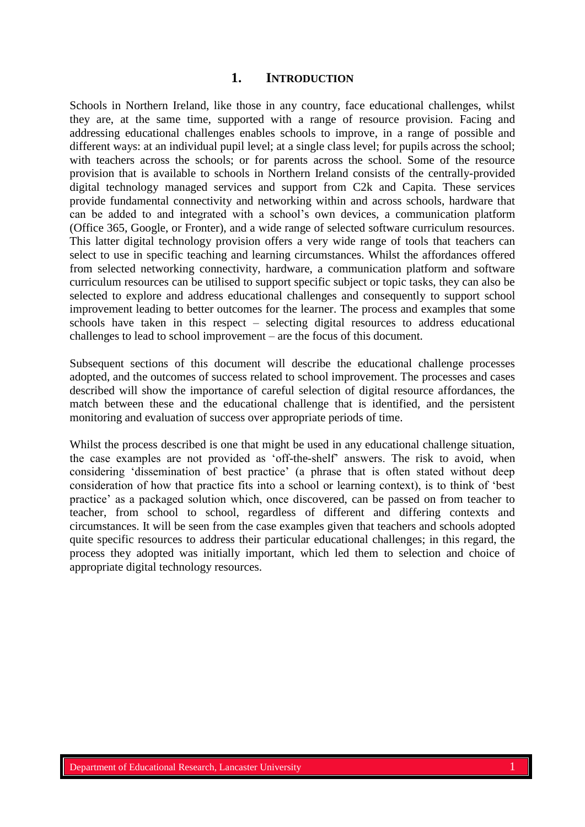### **1. INTRODUCTION**

Schools in Northern Ireland, like those in any country, face educational challenges, whilst they are, at the same time, supported with a range of resource provision. Facing and addressing educational challenges enables schools to improve, in a range of possible and different ways: at an individual pupil level; at a single class level; for pupils across the school; with teachers across the schools; or for parents across the school. Some of the resource provision that is available to schools in Northern Ireland consists of the centrally-provided digital technology managed services and support from C2k and Capita. These services provide fundamental connectivity and networking within and across schools, hardware that can be added to and integrated with a school's own devices, a communication platform (Office 365, Google, or Fronter), and a wide range of selected software curriculum resources. This latter digital technology provision offers a very wide range of tools that teachers can select to use in specific teaching and learning circumstances. Whilst the affordances offered from selected networking connectivity, hardware, a communication platform and software curriculum resources can be utilised to support specific subject or topic tasks, they can also be selected to explore and address educational challenges and consequently to support school improvement leading to better outcomes for the learner. The process and examples that some schools have taken in this respect – selecting digital resources to address educational challenges to lead to school improvement – are the focus of this document.

Subsequent sections of this document will describe the educational challenge processes adopted, and the outcomes of success related to school improvement. The processes and cases described will show the importance of careful selection of digital resource affordances, the match between these and the educational challenge that is identified, and the persistent monitoring and evaluation of success over appropriate periods of time.

Whilst the process described is one that might be used in any educational challenge situation, the case examples are not provided as 'off-the-shelf' answers. The risk to avoid, when considering 'dissemination of best practice' (a phrase that is often stated without deep consideration of how that practice fits into a school or learning context), is to think of 'best practice' as a packaged solution which, once discovered, can be passed on from teacher to teacher, from school to school, regardless of different and differing contexts and circumstances. It will be seen from the case examples given that teachers and schools adopted quite specific resources to address their particular educational challenges; in this regard, the process they adopted was initially important, which led them to selection and choice of appropriate digital technology resources.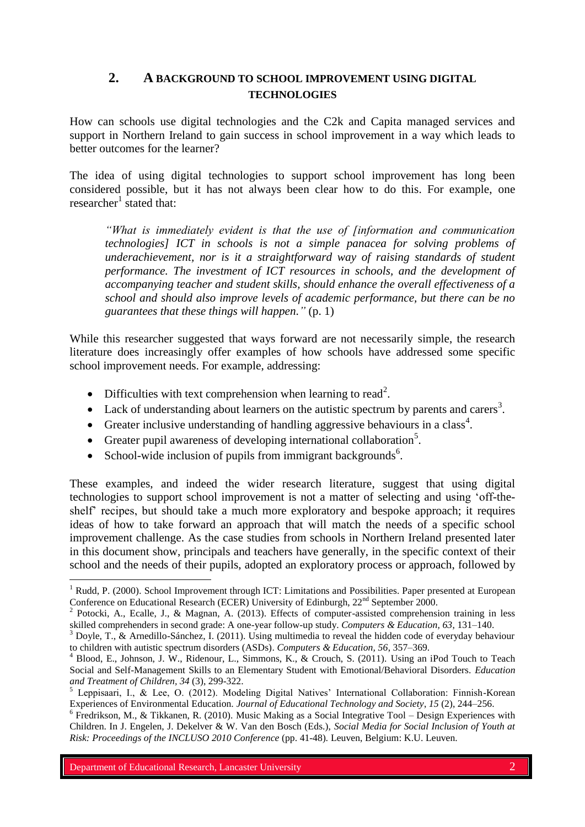# **2. A BACKGROUND TO SCHOOL IMPROVEMENT USING DIGITAL TECHNOLOGIES**

How can schools use digital technologies and the C2k and Capita managed services and support in Northern Ireland to gain success in school improvement in a way which leads to better outcomes for the learner?

The idea of using digital technologies to support school improvement has long been considered possible, but it has not always been clear how to do this. For example, one researcher<sup>1</sup> stated that:

*"What is immediately evident is that the use of [information and communication technologies] ICT in schools is not a simple panacea for solving problems of underachievement, nor is it a straightforward way of raising standards of student performance. The investment of ICT resources in schools, and the development of accompanying teacher and student skills, should enhance the overall effectiveness of a school and should also improve levels of academic performance, but there can be no guarantees that these things will happen."* (p. 1)

While this researcher suggested that ways forward are not necessarily simple, the research literature does increasingly offer examples of how schools have addressed some specific school improvement needs. For example, addressing:

- Difficulties with text comprehension when learning to read<sup>2</sup>.
- Lack of understanding about learners on the autistic spectrum by parents and carers<sup>3</sup>.
- Greater inclusive understanding of handling aggressive behaviours in a class<sup>4</sup>.
- Greater pupil awareness of developing international collaboration<sup>5</sup>.
- School-wide inclusion of pupils from immigrant backgrounds<sup>6</sup>.

These examples, and indeed the wider research literature, suggest that using digital technologies to support school improvement is not a matter of selecting and using 'off-theshelf' recipes, but should take a much more exploratory and bespoke approach; it requires ideas of how to take forward an approach that will match the needs of a specific school improvement challenge. As the case studies from schools in Northern Ireland presented later in this document show, principals and teachers have generally, in the specific context of their school and the needs of their pupils, adopted an exploratory process or approach, followed by  $\overline{a}$ 

<sup>&</sup>lt;sup>1</sup> Rudd, P. (2000). School Improvement through ICT: Limitations and Possibilities. Paper presented at European Conference on Educational Research (ECER) University of Edinburgh, 22<sup>nd</sup> September 2000.

<sup>&</sup>lt;sup>2</sup> Potocki, A., Ecalle, J., & Magnan, A. (2013). Effects of computer-assisted comprehension training in less skilled comprehenders in second grade: A one-year follow-up study. *Computers & Education, 63*, 131–140.

 $3$  Doyle, T., & Arnedillo-Sánchez, I. (2011). Using multimedia to reveal the hidden code of everyday behaviour to children with autistic spectrum disorders (ASDs). *Computers & Education, 56*, 357–369.

<sup>4</sup> Blood, E., Johnson, J. W., Ridenour, L., Simmons, K., & Crouch, S. (2011). Using an iPod Touch to Teach Social and Self-Management Skills to an Elementary Student with Emotional/Behavioral Disorders. *Education and Treatment of Children, 34* (3), 299-322.

<sup>&</sup>lt;sup>5</sup> Leppisaari, I., & Lee, O. (2012). Modeling Digital Natives' International Collaboration: Finnish-Korean Experiences of Environmental Education. *Journal of Educational Technology and Society*, *15* (2), 244–256.

 $6$  Fredrikson, M., & Tikkanen, R. (2010). Music Making as a Social Integrative Tool – Design Experiences with Children. In J. Engelen, J. Dekelver & W. Van den Bosch (Eds.), *Social Media for Social Inclusion of Youth at Risk: Proceedings of the INCLUSO 2010 Conference* (pp. 41-48)*.* Leuven, Belgium: K.U. Leuven.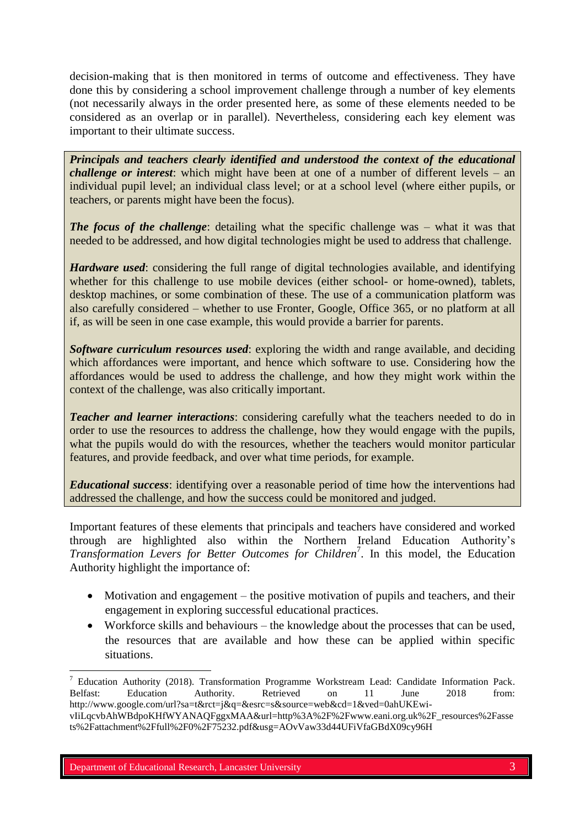decision-making that is then monitored in terms of outcome and effectiveness. They have done this by considering a school improvement challenge through a number of key elements (not necessarily always in the order presented here, as some of these elements needed to be considered as an overlap or in parallel). Nevertheless, considering each key element was important to their ultimate success.

*Principals and teachers clearly identified and understood the context of the educational challenge or interest*: which might have been at one of a number of different levels – an individual pupil level; an individual class level; or at a school level (where either pupils, or teachers, or parents might have been the focus).

*The focus of the challenge*: detailing what the specific challenge was – what it was that needed to be addressed, and how digital technologies might be used to address that challenge.

*Hardware used*: considering the full range of digital technologies available, and identifying whether for this challenge to use mobile devices (either school- or home-owned), tablets, desktop machines, or some combination of these. The use of a communication platform was also carefully considered – whether to use Fronter, Google, Office 365, or no platform at all if, as will be seen in one case example, this would provide a barrier for parents.

*Software curriculum resources used*: exploring the width and range available, and deciding which affordances were important, and hence which software to use. Considering how the affordances would be used to address the challenge, and how they might work within the context of the challenge, was also critically important.

*Teacher and learner interactions*: considering carefully what the teachers needed to do in order to use the resources to address the challenge, how they would engage with the pupils, what the pupils would do with the resources, whether the teachers would monitor particular features, and provide feedback, and over what time periods, for example.

*Educational success*: identifying over a reasonable period of time how the interventions had addressed the challenge, and how the success could be monitored and judged.

Important features of these elements that principals and teachers have considered and worked through are highlighted also within the Northern Ireland Education Authority's *Transformation Levers for Better Outcomes for Children*<sup>7</sup> . In this model, the Education Authority highlight the importance of:

- Motivation and engagement the positive motivation of pupils and teachers, and their engagement in exploring successful educational practices.
- Workforce skills and behaviours the knowledge about the processes that can be used, the resources that are available and how these can be applied within specific situations.

 $\overline{a}$ 

<sup>&</sup>lt;sup>7</sup> Education Authority (2018). Transformation Programme Workstream Lead: Candidate Information Pack. Belfast: Education Authority. Retrieved on 11 June 2018 from: http://www.google.com/url?sa=t&rct=j&q=&esrc=s&source=web&cd=1&ved=0ahUKEwivIiLqcvbAhWBdpoKHfWYANAQFggxMAA&url=http%3A%2F%2Fwww.eani.org.uk%2F\_resources%2Fasse

ts%2Fattachment%2Ffull%2F0%2F75232.pdf&usg=AOvVaw33d44UFiVfaGBdX09cy96H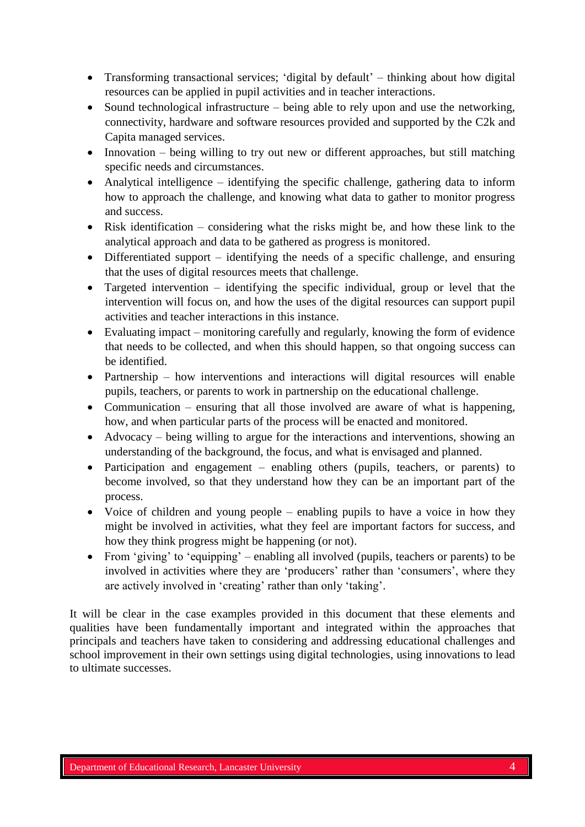- Transforming transactional services; 'digital by default' thinking about how digital resources can be applied in pupil activities and in teacher interactions.
- Sound technological infrastructure being able to rely upon and use the networking, connectivity, hardware and software resources provided and supported by the C2k and Capita managed services.
- Innovation being willing to try out new or different approaches, but still matching specific needs and circumstances.
- Analytical intelligence identifying the specific challenge, gathering data to inform how to approach the challenge, and knowing what data to gather to monitor progress and success.
- Risk identification considering what the risks might be, and how these link to the analytical approach and data to be gathered as progress is monitored.
- Differentiated support identifying the needs of a specific challenge, and ensuring that the uses of digital resources meets that challenge.
- Targeted intervention identifying the specific individual, group or level that the intervention will focus on, and how the uses of the digital resources can support pupil activities and teacher interactions in this instance.
- Evaluating impact monitoring carefully and regularly, knowing the form of evidence that needs to be collected, and when this should happen, so that ongoing success can be identified.
- Partnership how interventions and interactions will digital resources will enable pupils, teachers, or parents to work in partnership on the educational challenge.
- Communication ensuring that all those involved are aware of what is happening, how, and when particular parts of the process will be enacted and monitored.
- Advocacy being willing to argue for the interactions and interventions, showing an understanding of the background, the focus, and what is envisaged and planned.
- Participation and engagement enabling others (pupils, teachers, or parents) to become involved, so that they understand how they can be an important part of the process.
- Voice of children and young people enabling pupils to have a voice in how they might be involved in activities, what they feel are important factors for success, and how they think progress might be happening (or not).
- From 'giving' to 'equipping' enabling all involved (pupils, teachers or parents) to be involved in activities where they are 'producers' rather than 'consumers', where they are actively involved in 'creating' rather than only 'taking'.

It will be clear in the case examples provided in this document that these elements and qualities have been fundamentally important and integrated within the approaches that principals and teachers have taken to considering and addressing educational challenges and school improvement in their own settings using digital technologies, using innovations to lead to ultimate successes.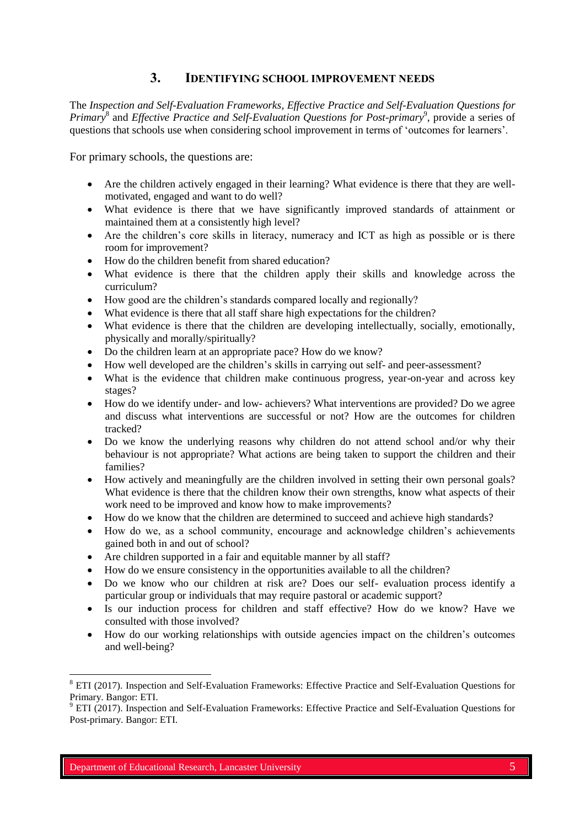### **3. IDENTIFYING SCHOOL IMPROVEMENT NEEDS**

The *Inspection and Self-Evaluation Frameworks, Effective Practice and Self-Evaluation Questions for*  Primary<sup>8</sup> and *Effective Practice and Self-Evaluation Questions for Post-primary*<sup>9</sup>, provide a series of questions that schools use when considering school improvement in terms of 'outcomes for learners'.

For primary schools, the questions are:

- Are the children actively engaged in their learning? What evidence is there that they are wellmotivated, engaged and want to do well?
- What evidence is there that we have significantly improved standards of attainment or maintained them at a consistently high level?
- Are the children's core skills in literacy, numeracy and ICT as high as possible or is there room for improvement?
- How do the children benefit from shared education?
- What evidence is there that the children apply their skills and knowledge across the curriculum?
- How good are the children's standards compared locally and regionally?
- What evidence is there that all staff share high expectations for the children?
- What evidence is there that the children are developing intellectually, socially, emotionally, physically and morally/spiritually?
- Do the children learn at an appropriate pace? How do we know?
- How well developed are the children's skills in carrying out self- and peer-assessment?
- What is the evidence that children make continuous progress, year-on-year and across key stages?
- How do we identify under- and low- achievers? What interventions are provided? Do we agree and discuss what interventions are successful or not? How are the outcomes for children tracked?
- Do we know the underlying reasons why children do not attend school and/or why their behaviour is not appropriate? What actions are being taken to support the children and their families?
- How actively and meaningfully are the children involved in setting their own personal goals? What evidence is there that the children know their own strengths, know what aspects of their work need to be improved and know how to make improvements?
- How do we know that the children are determined to succeed and achieve high standards?
- How do we, as a school community, encourage and acknowledge children's achievements gained both in and out of school?
- Are children supported in a fair and equitable manner by all staff?
- How do we ensure consistency in the opportunities available to all the children?
- Do we know who our children at risk are? Does our self- evaluation process identify a particular group or individuals that may require pastoral or academic support?
- Is our induction process for children and staff effective? How do we know? Have we consulted with those involved?
- How do our working relationships with outside agencies impact on the children's outcomes and well-being?

 $\overline{a}$ 

<sup>&</sup>lt;sup>8</sup> ETI (2017). Inspection and Self-Evaluation Frameworks: Effective Practice and Self-Evaluation Questions for Primary. Bangor: ETI.

<sup>9</sup> ETI (2017). Inspection and Self-Evaluation Frameworks: Effective Practice and Self-Evaluation Questions for Post-primary. Bangor: ETI.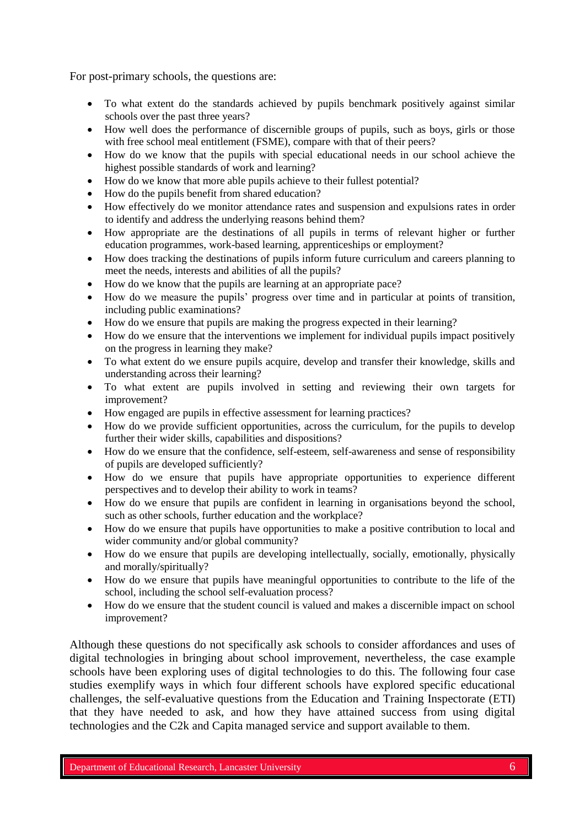For post-primary schools, the questions are:

- To what extent do the standards achieved by pupils benchmark positively against similar schools over the past three years?
- How well does the performance of discernible groups of pupils, such as boys, girls or those with free school meal entitlement (FSME), compare with that of their peers?
- How do we know that the pupils with special educational needs in our school achieve the highest possible standards of work and learning?
- How do we know that more able pupils achieve to their fullest potential?
- How do the pupils benefit from shared education?
- How effectively do we monitor attendance rates and suspension and expulsions rates in order to identify and address the underlying reasons behind them?
- How appropriate are the destinations of all pupils in terms of relevant higher or further education programmes, work-based learning, apprenticeships or employment?
- How does tracking the destinations of pupils inform future curriculum and careers planning to meet the needs, interests and abilities of all the pupils?
- How do we know that the pupils are learning at an appropriate pace?
- How do we measure the pupils' progress over time and in particular at points of transition, including public examinations?
- How do we ensure that pupils are making the progress expected in their learning?
- How do we ensure that the interventions we implement for individual pupils impact positively on the progress in learning they make?
- To what extent do we ensure pupils acquire, develop and transfer their knowledge, skills and understanding across their learning?
- To what extent are pupils involved in setting and reviewing their own targets for improvement?
- How engaged are pupils in effective assessment for learning practices?
- How do we provide sufficient opportunities, across the curriculum, for the pupils to develop further their wider skills, capabilities and dispositions?
- How do we ensure that the confidence, self-esteem, self-awareness and sense of responsibility of pupils are developed sufficiently?
- How do we ensure that pupils have appropriate opportunities to experience different perspectives and to develop their ability to work in teams?
- How do we ensure that pupils are confident in learning in organisations beyond the school, such as other schools, further education and the workplace?
- How do we ensure that pupils have opportunities to make a positive contribution to local and wider community and/or global community?
- How do we ensure that pupils are developing intellectually, socially, emotionally, physically and morally/spiritually?
- How do we ensure that pupils have meaningful opportunities to contribute to the life of the school, including the school self-evaluation process?
- How do we ensure that the student council is valued and makes a discernible impact on school improvement?

Although these questions do not specifically ask schools to consider affordances and uses of digital technologies in bringing about school improvement, nevertheless, the case example schools have been exploring uses of digital technologies to do this. The following four case studies exemplify ways in which four different schools have explored specific educational challenges, the self-evaluative questions from the Education and Training Inspectorate (ETI) that they have needed to ask, and how they have attained success from using digital technologies and the C2k and Capita managed service and support available to them.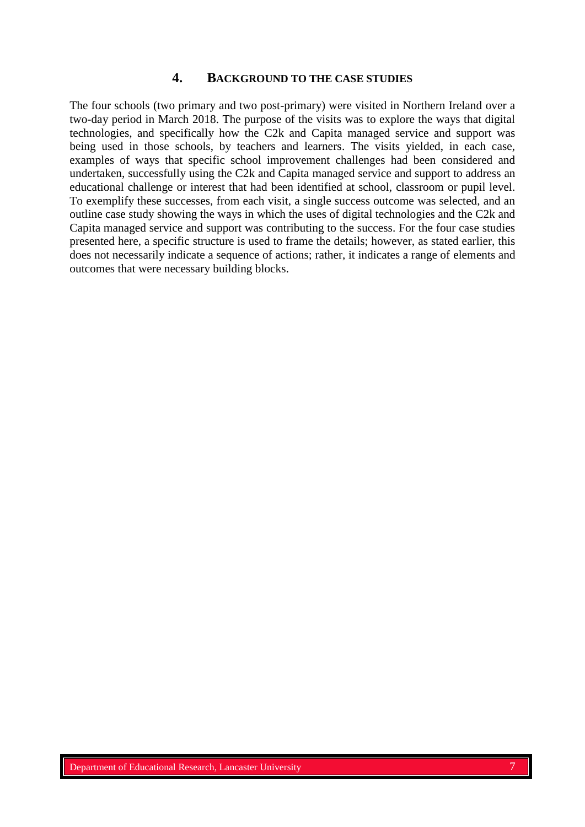## **4. BACKGROUND TO THE CASE STUDIES**

The four schools (two primary and two post-primary) were visited in Northern Ireland over a two-day period in March 2018. The purpose of the visits was to explore the ways that digital technologies, and specifically how the C2k and Capita managed service and support was being used in those schools, by teachers and learners. The visits yielded, in each case, examples of ways that specific school improvement challenges had been considered and undertaken, successfully using the C2k and Capita managed service and support to address an educational challenge or interest that had been identified at school, classroom or pupil level. To exemplify these successes, from each visit, a single success outcome was selected, and an outline case study showing the ways in which the uses of digital technologies and the C2k and Capita managed service and support was contributing to the success. For the four case studies presented here, a specific structure is used to frame the details; however, as stated earlier, this does not necessarily indicate a sequence of actions; rather, it indicates a range of elements and outcomes that were necessary building blocks.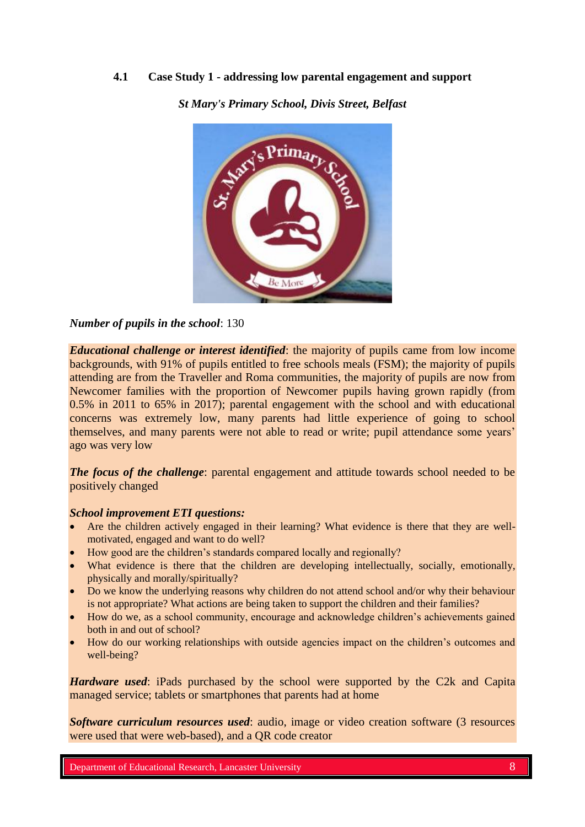### **4.1 Case Study 1 - addressing low parental engagement and support**



*St Mary's Primary School, Divis Street, Belfast*

*Number of pupils in the school*: 130

*Educational challenge or interest identified*: the majority of pupils came from low income backgrounds, with 91% of pupils entitled to free schools meals (FSM); the majority of pupils attending are from the Traveller and Roma communities, the majority of pupils are now from Newcomer families with the proportion of Newcomer pupils having grown rapidly (from 0.5% in 2011 to 65% in 2017); parental engagement with the school and with educational concerns was extremely low, many parents had little experience of going to school themselves, and many parents were not able to read or write; pupil attendance some years' ago was very low

*The focus of the challenge*: parental engagement and attitude towards school needed to be positively changed

#### *School improvement ETI questions:*

- Are the children actively engaged in their learning? What evidence is there that they are wellmotivated, engaged and want to do well?
- How good are the children's standards compared locally and regionally?
- What evidence is there that the children are developing intellectually, socially, emotionally, physically and morally/spiritually?
- Do we know the underlying reasons why children do not attend school and/or why their behaviour is not appropriate? What actions are being taken to support the children and their families?
- How do we, as a school community, encourage and acknowledge children's achievements gained both in and out of school?
- How do our working relationships with outside agencies impact on the children's outcomes and well-being?

*Hardware used*: iPads purchased by the school were supported by the C2k and Capita managed service; tablets or smartphones that parents had at home

**Software curriculum resources used:** audio, image or video creation software (3 resources were used that were web-based), and a QR code creator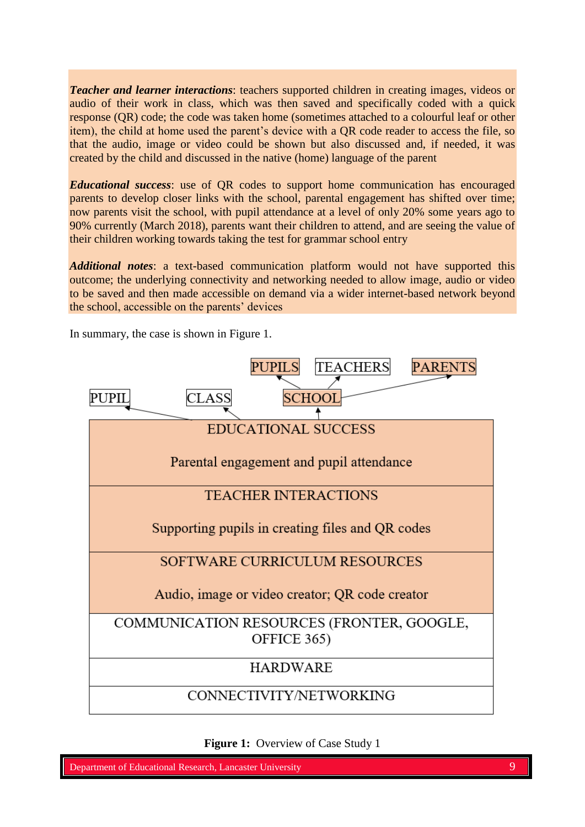*Teacher and learner interactions*: teachers supported children in creating images, videos or audio of their work in class, which was then saved and specifically coded with a quick response (QR) code; the code was taken home (sometimes attached to a colourful leaf or other item), the child at home used the parent's device with a QR code reader to access the file, so that the audio, image or video could be shown but also discussed and, if needed, it was created by the child and discussed in the native (home) language of the parent

*Educational success*: use of QR codes to support home communication has encouraged parents to develop closer links with the school, parental engagement has shifted over time; now parents visit the school, with pupil attendance at a level of only 20% some years ago to 90% currently (March 2018), parents want their children to attend, and are seeing the value of their children working towards taking the test for grammar school entry

*Additional notes*: a text-based communication platform would not have supported this outcome; the underlying connectivity and networking needed to allow image, audio or video to be saved and then made accessible on demand via a wider internet-based network beyond the school, accessible on the parents' devices

In summary, the case is shown in Figure 1.



**Figure 1:** Overview of Case Study 1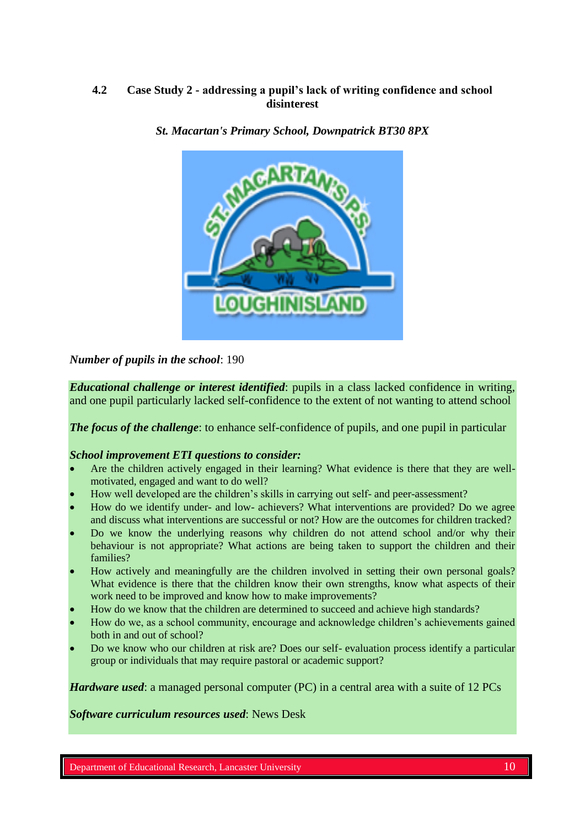### **4.2 Case Study 2 - addressing a pupil's lack of writing confidence and school disinterest**



### *St. Macartan's Primary School, Downpatrick BT30 8PX*

*Number of pupils in the school*: 190

*Educational challenge or interest identified*: pupils in a class lacked confidence in writing, and one pupil particularly lacked self-confidence to the extent of not wanting to attend school

*The focus of the challenge:* to enhance self-confidence of pupils, and one pupil in particular

#### *School improvement ETI questions to consider:*

- Are the children actively engaged in their learning? What evidence is there that they are wellmotivated, engaged and want to do well?
- How well developed are the children's skills in carrying out self- and peer-assessment?
- How do we identify under- and low- achievers? What interventions are provided? Do we agree and discuss what interventions are successful or not? How are the outcomes for children tracked?
- Do we know the underlying reasons why children do not attend school and/or why their behaviour is not appropriate? What actions are being taken to support the children and their families?
- How actively and meaningfully are the children involved in setting their own personal goals? What evidence is there that the children know their own strengths, know what aspects of their work need to be improved and know how to make improvements?
- How do we know that the children are determined to succeed and achieve high standards?
- How do we, as a school community, encourage and acknowledge children's achievements gained both in and out of school?
- Do we know who our children at risk are? Does our self- evaluation process identify a particular group or individuals that may require pastoral or academic support?

*Hardware used*: a managed personal computer (PC) in a central area with a suite of 12 PCs

*Software curriculum resources used*: News Desk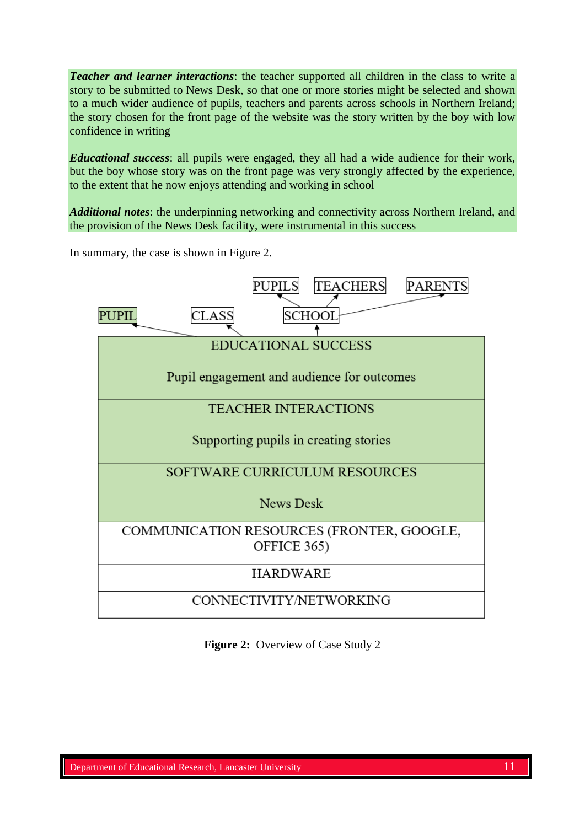*Teacher and learner interactions*: the teacher supported all children in the class to write a story to be submitted to News Desk, so that one or more stories might be selected and shown to a much wider audience of pupils, teachers and parents across schools in Northern Ireland; the story chosen for the front page of the website was the story written by the boy with low confidence in writing

*Educational success*: all pupils were engaged, they all had a wide audience for their work, but the boy whose story was on the front page was very strongly affected by the experience, to the extent that he now enjoys attending and working in school

*Additional notes*: the underpinning networking and connectivity across Northern Ireland, and the provision of the News Desk facility, were instrumental in this success

In summary, the case is shown in Figure 2.



**Figure 2:** Overview of Case Study 2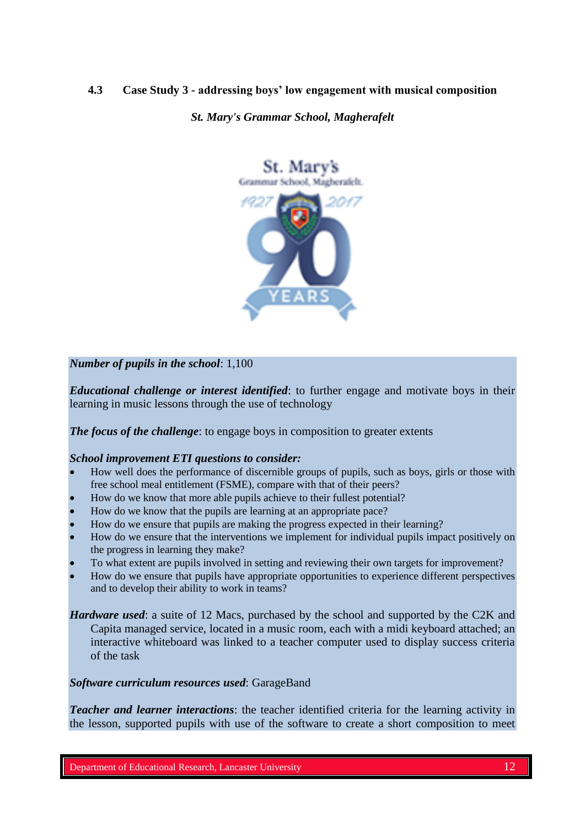### **4.3 Case Study 3 - addressing boys' low engagement with musical composition**

*St. Mary's Grammar School, Magherafelt*



### *Number of pupils in the school*: 1,100

*Educational challenge or interest identified*: to further engage and motivate boys in their learning in music lessons through the use of technology

*The focus of the challenge*: to engage boys in composition to greater extents

#### *School improvement ETI questions to consider:*

- How well does the performance of discernible groups of pupils, such as boys, girls or those with free school meal entitlement (FSME), compare with that of their peers?
- How do we know that more able pupils achieve to their fullest potential?
- How do we know that the pupils are learning at an appropriate pace?
- How do we ensure that pupils are making the progress expected in their learning?
- How do we ensure that the interventions we implement for individual pupils impact positively on the progress in learning they make?
- To what extent are pupils involved in setting and reviewing their own targets for improvement?
- How do we ensure that pupils have appropriate opportunities to experience different perspectives and to develop their ability to work in teams?

*Hardware used*: a suite of 12 Macs, purchased by the school and supported by the C2K and Capita managed service, located in a music room, each with a midi keyboard attached; an interactive whiteboard was linked to a teacher computer used to display success criteria of the task

#### *Software curriculum resources used*: GarageBand

*Teacher and learner interactions*: the teacher identified criteria for the learning activity in the lesson, supported pupils with use of the software to create a short composition to meet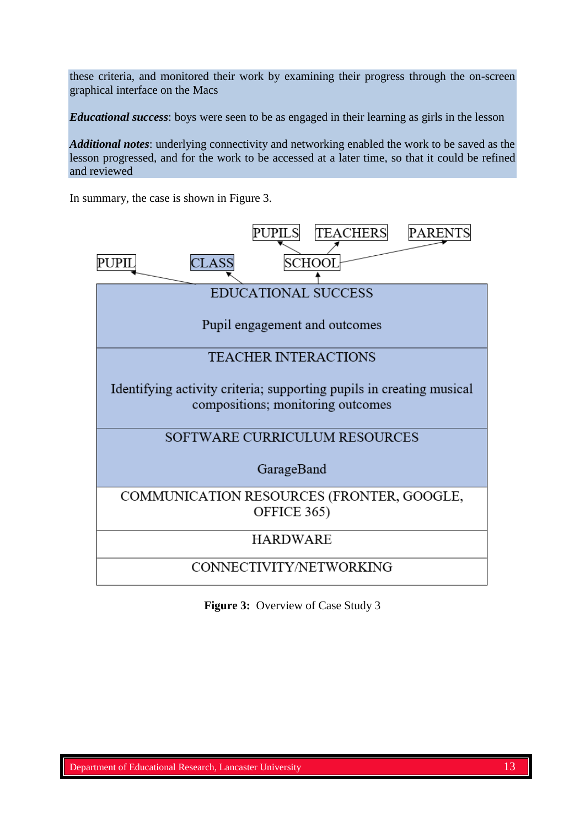these criteria, and monitored their work by examining their progress through the on-screen graphical interface on the Macs

*Educational success*: boys were seen to be as engaged in their learning as girls in the lesson

*Additional notes*: underlying connectivity and networking enabled the work to be saved as the lesson progressed, and for the work to be accessed at a later time, so that it could be refined and reviewed

In summary, the case is shown in Figure 3.



**Figure 3:** Overview of Case Study 3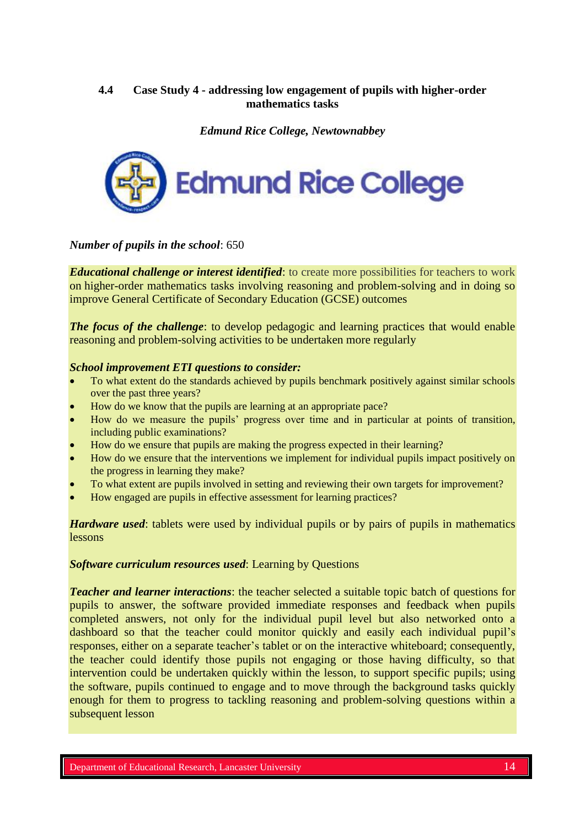### **4.4 Case Study 4 - addressing low engagement of pupils with higher-order mathematics tasks**

*Edmund Rice College, Newtownabbey*



*Number of pupils in the school*: 650

*Educational challenge or interest identified*: to create more possibilities for teachers to work on higher-order mathematics tasks involving reasoning and problem-solving and in doing so improve General Certificate of Secondary Education (GCSE) outcomes

*The focus of the challenge*: to develop pedagogic and learning practices that would enable reasoning and problem-solving activities to be undertaken more regularly

### *School improvement ETI questions to consider:*

- To what extent do the standards achieved by pupils benchmark positively against similar schools over the past three years?
- How do we know that the pupils are learning at an appropriate pace?
- How do we measure the pupils' progress over time and in particular at points of transition, including public examinations?
- How do we ensure that pupils are making the progress expected in their learning?
- How do we ensure that the interventions we implement for individual pupils impact positively on the progress in learning they make?
- To what extent are pupils involved in setting and reviewing their own targets for improvement?
- How engaged are pupils in effective assessment for learning practices?

*Hardware used*: tablets were used by individual pupils or by pairs of pupils in mathematics lessons

### *Software curriculum resources used*: Learning by Questions

*Teacher and learner interactions*: the teacher selected a suitable topic batch of questions for pupils to answer, the software provided immediate responses and feedback when pupils completed answers, not only for the individual pupil level but also networked onto a dashboard so that the teacher could monitor quickly and easily each individual pupil's responses, either on a separate teacher's tablet or on the interactive whiteboard; consequently, the teacher could identify those pupils not engaging or those having difficulty, so that intervention could be undertaken quickly within the lesson, to support specific pupils; using the software, pupils continued to engage and to move through the background tasks quickly enough for them to progress to tackling reasoning and problem-solving questions within a subsequent lesson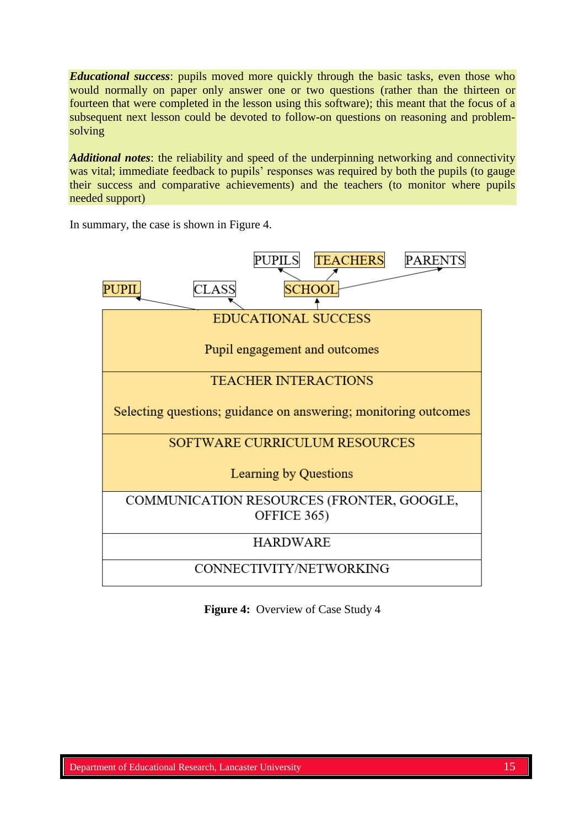*Educational success*: pupils moved more quickly through the basic tasks, even those who would normally on paper only answer one or two questions (rather than the thirteen or fourteen that were completed in the lesson using this software); this meant that the focus of a subsequent next lesson could be devoted to follow-on questions on reasoning and problemsolving

*Additional notes*: the reliability and speed of the underpinning networking and connectivity was vital; immediate feedback to pupils' responses was required by both the pupils (to gauge their success and comparative achievements) and the teachers (to monitor where pupils needed support)

PUPILS **TEACHERS PARENTS** PUPIL **CLASS SCHOOL EDUCATIONAL SUCCESS** Pupil engagement and outcomes **TEACHER INTERACTIONS** Selecting questions; guidance on answering; monitoring outcomes SOFTWARE CURRICULUM RESOURCES Learning by Questions COMMUNICATION RESOURCES (FRONTER, GOOGLE, OFFICE 365) **HARDWARE** CONNECTIVITY/NETWORKING

In summary, the case is shown in Figure 4.

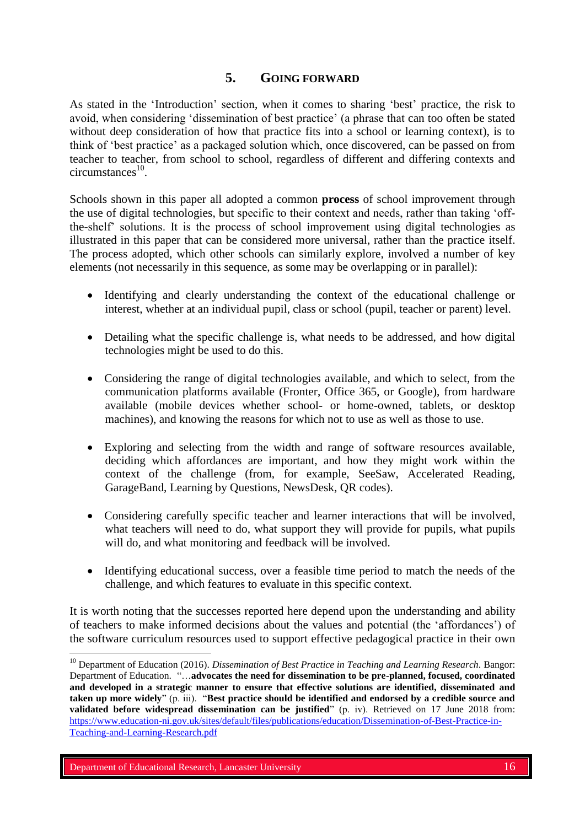# **5. GOING FORWARD**

As stated in the 'Introduction' section, when it comes to sharing 'best' practice, the risk to avoid, when considering 'dissemination of best practice' (a phrase that can too often be stated without deep consideration of how that practice fits into a school or learning context), is to think of 'best practice' as a packaged solution which, once discovered, can be passed on from teacher to teacher, from school to school, regardless of different and differing contexts and  $circumstances<sup>10</sup>$ .

Schools shown in this paper all adopted a common **process** of school improvement through the use of digital technologies, but specific to their context and needs, rather than taking 'offthe-shelf' solutions. It is the process of school improvement using digital technologies as illustrated in this paper that can be considered more universal, rather than the practice itself. The process adopted, which other schools can similarly explore, involved a number of key elements (not necessarily in this sequence, as some may be overlapping or in parallel):

- Identifying and clearly understanding the context of the educational challenge or interest, whether at an individual pupil, class or school (pupil, teacher or parent) level.
- Detailing what the specific challenge is, what needs to be addressed, and how digital technologies might be used to do this.
- Considering the range of digital technologies available, and which to select, from the communication platforms available (Fronter, Office 365, or Google), from hardware available (mobile devices whether school- or home-owned, tablets, or desktop machines), and knowing the reasons for which not to use as well as those to use.
- Exploring and selecting from the width and range of software resources available, deciding which affordances are important, and how they might work within the context of the challenge (from, for example, SeeSaw, Accelerated Reading, GarageBand, Learning by Questions, NewsDesk, QR codes).
- Considering carefully specific teacher and learner interactions that will be involved, what teachers will need to do, what support they will provide for pupils, what pupils will do, and what monitoring and feedback will be involved.
- Identifying educational success, over a feasible time period to match the needs of the challenge, and which features to evaluate in this specific context.

It is worth noting that the successes reported here depend upon the understanding and ability of teachers to make informed decisions about the values and potential (the 'affordances') of the software curriculum resources used to support effective pedagogical practice in their own

 $\overline{a}$ 

<sup>&</sup>lt;sup>10</sup> Department of Education (2016). *Dissemination of Best Practice in Teaching and Learning Research*. Bangor: Department of Education. "…**advocates the need for dissemination to be pre-planned, focused, coordinated and developed in a strategic manner to ensure that effective solutions are identified, disseminated and taken up more widely**" (p. iii). "**Best practice should be identified and endorsed by a credible source and validated before widespread dissemination can be justified**" (p. iv). Retrieved on 17 June 2018 from: [https://www.education-ni.gov.uk/sites/default/files/publications/education/Dissemination-of-Best-Practice-in-](https://www.education-ni.gov.uk/sites/default/files/publications/education/Dissemination-of-Best-Practice-in-Teaching-and-Learning-Research.pdf)[Teaching-and-Learning-Research.pdf](https://www.education-ni.gov.uk/sites/default/files/publications/education/Dissemination-of-Best-Practice-in-Teaching-and-Learning-Research.pdf)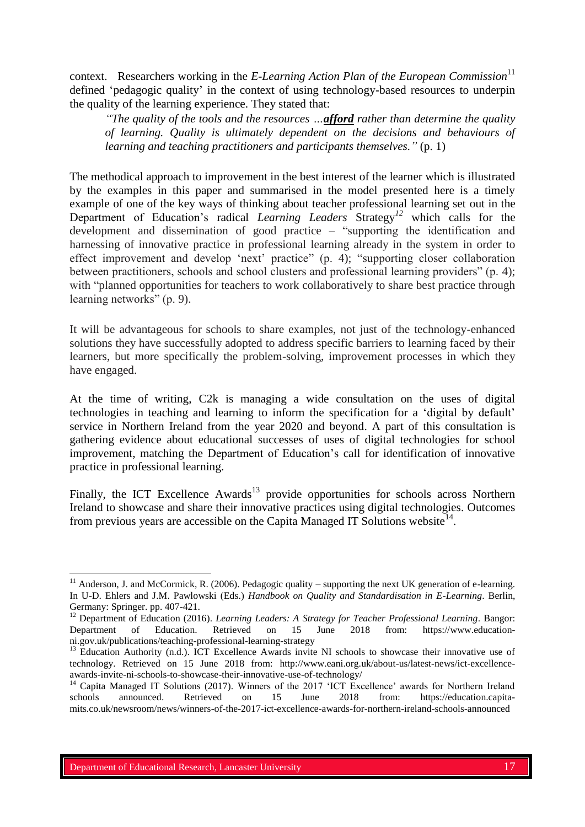context. Researchers working in the *E-Learning Action Plan of the European Commission*<sup>11</sup> defined 'pedagogic quality' in the context of using technology-based resources to underpin the quality of the learning experience. They stated that:

*"The quality of the tools and the resources …afford rather than determine the quality of learning. Quality is ultimately dependent on the decisions and behaviours of learning and teaching practitioners and participants themselves."* (p. 1)

The methodical approach to improvement in the best interest of the learner which is illustrated by the examples in this paper and summarised in the model presented here is a timely example of one of the key ways of thinking about teacher professional learning set out in the Department of Education's radical *Learning Leaders* Strategy*<sup>12</sup>* which calls for the development and dissemination of good practice – "supporting the identification and harnessing of innovative practice in professional learning already in the system in order to effect improvement and develop 'next' practice" (p. 4); "supporting closer collaboration between practitioners, schools and school clusters and professional learning providers" (p. 4); with "planned opportunities for teachers to work collaboratively to share best practice through learning networks" (p. 9).

It will be advantageous for schools to share examples, not just of the technology-enhanced solutions they have successfully adopted to address specific barriers to learning faced by their learners, but more specifically the problem-solving, improvement processes in which they have engaged.

At the time of writing, C2k is managing a wide consultation on the uses of digital technologies in teaching and learning to inform the specification for a 'digital by default' service in Northern Ireland from the year 2020 and beyond. A part of this consultation is gathering evidence about educational successes of uses of digital technologies for school improvement, matching the Department of Education's call for identification of innovative practice in professional learning.

Finally, the ICT Excellence  $Awards<sup>13</sup>$  provide opportunities for schools across Northern Ireland to showcase and share their innovative practices using digital technologies. Outcomes from previous years are accessible on the Capita Managed IT Solutions website<sup>14</sup>.

 $\overline{a}$ 

 $11$  Anderson, J. and McCormick, R. (2006). Pedagogic quality – supporting the next UK generation of e-learning. In U-D. Ehlers and J.M. Pawlowski (Eds.) *Handbook on Quality and Standardisation in E-Learning*. Berlin, Germany: Springer. pp. 407-421.

<sup>12</sup> Department of Education (2016). *Learning Leaders: A Strategy for Teacher Professional Learning*. Bangor: Department of Education. Retrieved on 15 June 2018 from: https://www.educationni.gov.uk/publications/teaching-professional-learning-strategy

<sup>&</sup>lt;sup>13</sup> Education Authority (n.d.). ICT Excellence Awards invite NI schools to showcase their innovative use of technology. Retrieved on 15 June 2018 from: http://www.eani.org.uk/about-us/latest-news/ict-excellenceawards-invite-ni-schools-to-showcase-their-innovative-use-of-technology/

<sup>&</sup>lt;sup>14</sup> Capita Managed IT Solutions (2017). Winners of the 2017 'ICT Excellence' awards for Northern Ireland schools announced. Retrieved on 15 June 2018 from: https://education.capitamits.co.uk/newsroom/news/winners-of-the-2017-ict-excellence-awards-for-northern-ireland-schools-announced